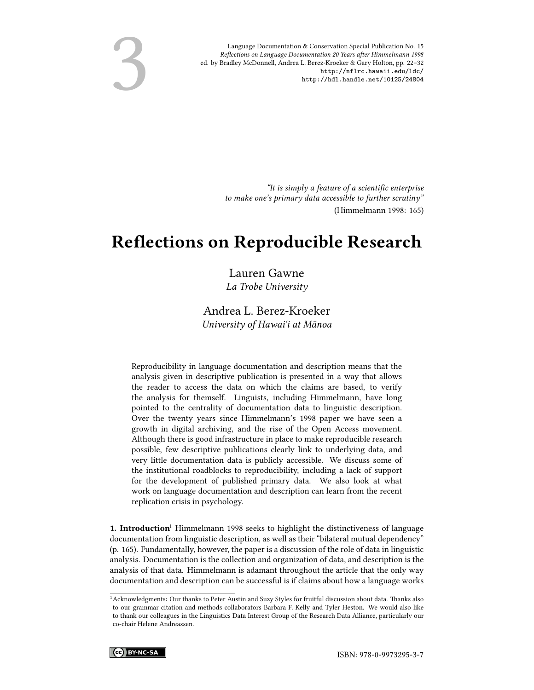Language Documentation & Conservation Special Publication No. 15 Reflections on Language Documentation 20 Years after Himmelmann 1998 ed. by Bradley McDonnell, Andrea L. Berez-Kroeker & Gary Holton, pp. 22–32 <http://nflrc.hawaii.edu/ldc/> <http://hdl.handle.net/10125/24804>

3

"It is simply a feature of a scientific enterprise to make one's primary data accessible to further scrutiny" (Himmelmann 1998: 165)

## Reflections on Reproducible Research

Lauren Gawne La Trobe University

Andrea L. Berez-Kroeker University of Hawaiʻi at Mānoa

Reproducibility in language documentation and description means that the analysis given in descriptive publication is presented in a way that allows the reader to access the data on which the claims are based, to verify the analysis for themself. Linguists, including Himmelmann, have long pointed to the centrality of documentation data to linguistic description. Over the twenty years since Himmelmann's 1998 paper we have seen a growth in digital archiving, and the rise of the Open Access movement. Although there is good infrastructure in place to make reproducible research possible, few descriptive publications clearly link to underlying data, and very little documentation data is publicly accessible. We discuss some of the institutional roadblocks to reproducibility, including a lack of support for the development of published primary data. We also look at what work on language documentation and description can learn from the recent replication crisis in psychology.

**1. Introduction** Himmelmann 1998 seeks to highlight the distinctiveness of language documentation from linguistic description, as well as their "bilateral mutual dependency" (p. 165). Fundamentally, however, the paper is a discussion of the role of data in linguistic analysis. Documentation is the collection and organization of data, and description is the analysis of that data. Himmelmann is adamant throughout the article that the only way documentation and description can be successful is if claims about how a language works

 $^1$  Acknowledgments: Our thanks to Peter Austin and Suzy Styles for fruitful discussion about data. Thanks also to our grammar citation and methods collaborators Barbara F. Kelly and Tyler Heston. We would also like to thank our colleagues in the Linguistics Data Interest Group of the Research Data Alliance, particularly our co-chair Helene Andreassen.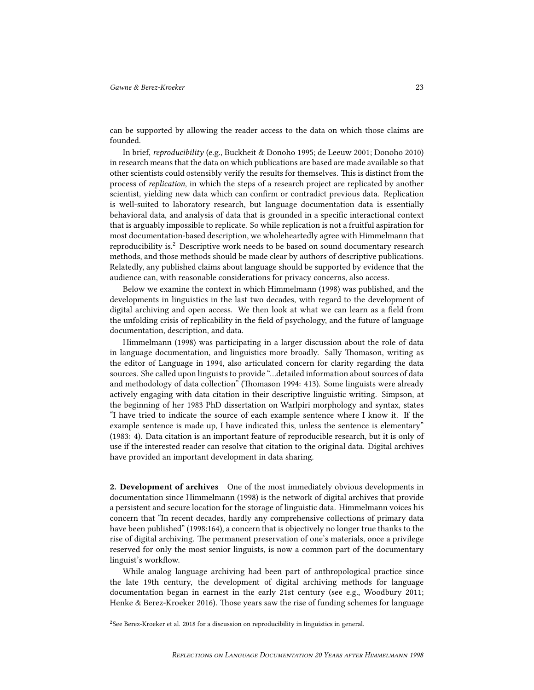can be supported by allowing the reader access to the data on which those claims are founded.

In brief, reproducibility (e.g., Buckheit & Donoho 1995; de Leeuw 2001; Donoho 2010) in research means that the data on which publications are based are made available so that other scientists could ostensibly verify the results for themselves. This is distinct from the process of replication, in which the steps of a research project are replicated by another scientist, yielding new data which can confirm or contradict previous data. Replication is well-suited to laboratory research, but language documentation data is essentially behavioral data, and analysis of data that is grounded in a specific interactional context that is arguably impossible to replicate. So while replication is not a fruitful aspiration for most documentation-based description, we wholeheartedly agree with Himmelmann that reproducibility is.<sup>2</sup> Descriptive work needs to be based on sound documentary research methods, and those methods should be made clear by authors of descriptive publications. Relatedly, any published claims about language should be supported by evidence that the audience can, with reasonable considerations for privacy concerns, also access.

Below we examine the context in which Himmelmann (1998) was published, and the developments in linguistics in the last two decades, with regard to the development of digital archiving and open access. We then look at what we can learn as a field from the unfolding crisis of replicability in the field of psychology, and the future of language documentation, description, and data.

Himmelmann (1998) was participating in a larger discussion about the role of data in language documentation, and linguistics more broadly. Sally Thomason, writing as the editor of Language in 1994, also articulated concern for clarity regarding the data sources. She called upon linguists to provide "…detailed information about sources of data and methodology of data collection" (Thomason 1994: 413). Some linguists were already actively engaging with data citation in their descriptive linguistic writing. Simpson, at the beginning of her 1983 PhD dissertation on Warlpiri morphology and syntax, states "I have tried to indicate the source of each example sentence where I know it. If the example sentence is made up, I have indicated this, unless the sentence is elementary" (1983: 4). Data citation is an important feature of reproducible research, but it is only of use if the interested reader can resolve that citation to the original data. Digital archives have provided an important development in data sharing.

2. Development of archives One of the most immediately obvious developments in documentation since Himmelmann (1998) is the network of digital archives that provide a persistent and secure location for the storage of linguistic data. Himmelmann voices his concern that "In recent decades, hardly any comprehensive collections of primary data have been published" (1998:164), a concern that is objectively no longer true thanks to the rise of digital archiving. The permanent preservation of one's materials, once a privilege reserved for only the most senior linguists, is now a common part of the documentary linguist's workflow.

While analog language archiving had been part of anthropological practice since the late 19th century, the development of digital archiving methods for language documentation began in earnest in the early 21st century (see e.g., Woodbury 2011; Henke & Berez-Kroeker 2016). Those years saw the rise of funding schemes for language

 $2$ See Berez-Kroeker et al. 2018 for a discussion on reproducibility in linguistics in general.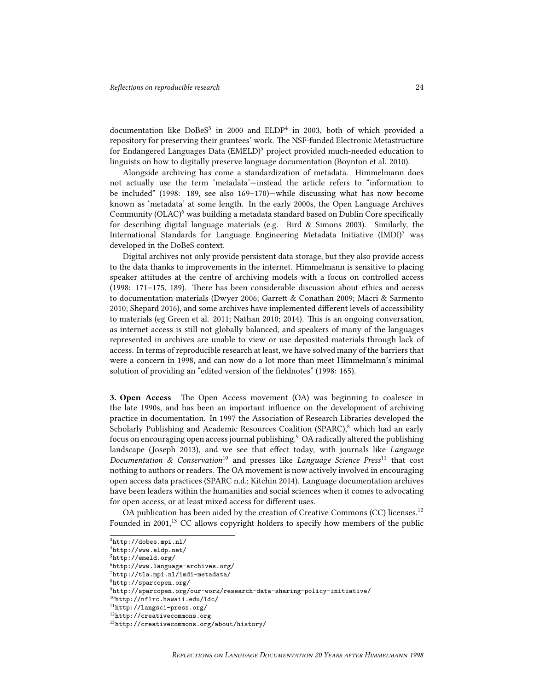documentation like DoBeS<sup>3</sup> in 2000 and ELDP<sup>4</sup> in 2003, both of which provided a repository for preserving their grantees' work. The NSF-funded Electronic Metastructure for Endangered Languages Data  $(EMELD)^5$  project provided much-needed education to linguists on how to digitally preserve language documentation (Boynton et al. 2010).

Alongside archiving has come a standardization of metadata. Himmelmann does not actually use the term 'metadata'—instead the article refers to "information to be included" (1998: 189, see also 169–170)—while discussing what has now become known as 'metadata' at some length. In the early 2000s, the Open Language Archives Community (OLAC)<sup>6</sup> was building a metadata standard based on Dublin Core specifically for describing digital language materials (e.g. Bird & Simons 2003). Similarly, the International Standards for Language Engineering Metadata Initiative  $(IMDI)^{7}$  was developed in the DoBeS context.

Digital archives not only provide persistent data storage, but they also provide access to the data thanks to improvements in the internet. Himmelmann is sensitive to placing speaker attitudes at the centre of archiving models with a focus on controlled access (1998: 171–175, 189). There has been considerable discussion about ethics and access to documentation materials (Dwyer 2006; Garrett & Conathan 2009; Macri & Sarmento 2010; Shepard 2016), and some archives have implemented different levels of accessibility to materials (eg Green et al. 2011; Nathan 2010; 2014). This is an ongoing conversation, as internet access is still not globally balanced, and speakers of many of the languages represented in archives are unable to view or use deposited materials through lack of access. In terms of reproducible research at least, we have solved many of the barriers that were a concern in 1998, and can now do a lot more than meet Himmelmann's minimal solution of providing an "edited version of the fieldnotes" (1998: 165).

3. Open Access The Open Access movement (OA) was beginning to coalesce in the late 1990s, and has been an important influence on the development of archiving practice in documentation. In 1997 the Association of Research Libraries developed the Scholarly Publishing and Academic Resources Coalition (SPARC),<sup>8</sup> which had an early focus on encouraging open access journal publishing.  $9O$ A radically altered the publishing landscape (Joseph 2013), and we see that effect today, with journals like Language Documentation & Conservation<sup>10</sup> and presses like Language Science Press<sup>11</sup> that cost nothing to authors or readers. The OA movement is now actively involved in encouraging open access data practices (SPARC n.d.; Kitchin 2014). Language documentation archives have been leaders within the humanities and social sciences when it comes to advocating for open access, or at least mixed access for different uses.

OA publication has been aided by the creation of Creative Commons (CC) licenses.<sup>12</sup> Founded in 2001, $^{13}$  CC allows copyright holders to specify how members of the public

<sup>3</sup><http://dobes.mpi.nl/>

<sup>4</sup><http://www.eldp.net/>

<sup>5</sup><http://emeld.org/>

<sup>6</sup><http://www.language-archives.org/>

<sup>7</sup><http://tla.mpi.nl/imdi-metadata/>

<sup>8</sup><http://sparcopen.org/>

<sup>9</sup><http://sparcopen.org/our-work/research-data-sharing-policy-initiative/>

<sup>10</sup><http://nflrc.hawaii.edu/ldc/>

<sup>11</sup><http://langsci-press.org/>

<sup>12</sup><http://creativecommons.org>

<sup>13</sup><http://creativecommons.org/about/history/>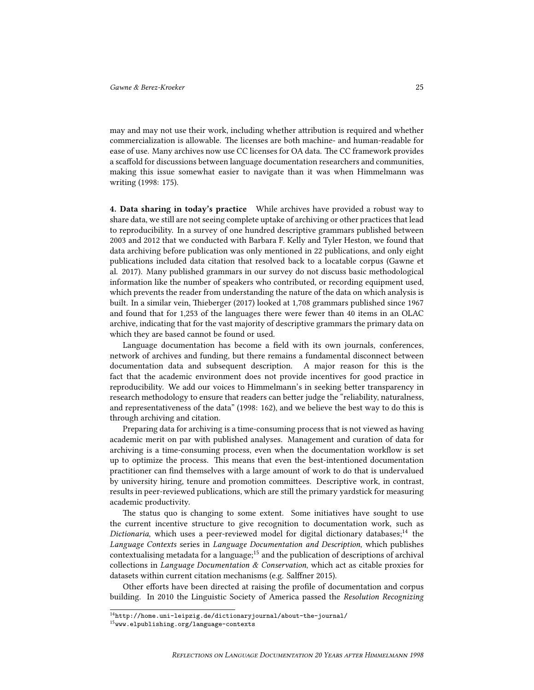may and may not use their work, including whether attribution is required and whether commercialization is allowable. The licenses are both machine- and human-readable for ease of use. Many archives now use CC licenses for OA data. The CC framework provides a scaffold for discussions between language documentation researchers and communities, making this issue somewhat easier to navigate than it was when Himmelmann was writing (1998: 175).

4. Data sharing in today's practice While archives have provided a robust way to share data, we still are not seeing complete uptake of archiving or other practices that lead to reproducibility. In a survey of one hundred descriptive grammars published between 2003 and 2012 that we conducted with Barbara F. Kelly and Tyler Heston, we found that data archiving before publication was only mentioned in 22 publications, and only eight publications included data citation that resolved back to a locatable corpus (Gawne et al. 2017). Many published grammars in our survey do not discuss basic methodological information like the number of speakers who contributed, or recording equipment used, which prevents the reader from understanding the nature of the data on which analysis is built. In a similar vein, Thieberger (2017) looked at 1,708 grammars published since 1967 and found that for 1,253 of the languages there were fewer than 40 items in an OLAC archive, indicating that for the vast majority of descriptive grammars the primary data on which they are based cannot be found or used.

Language documentation has become a field with its own journals, conferences, network of archives and funding, but there remains a fundamental disconnect between documentation data and subsequent description. A major reason for this is the fact that the academic environment does not provide incentives for good practice in reproducibility. We add our voices to Himmelmann's in seeking better transparency in research methodology to ensure that readers can better judge the "reliability, naturalness, and representativeness of the data" (1998: 162), and we believe the best way to do this is through archiving and citation.

Preparing data for archiving is a time-consuming process that is not viewed as having academic merit on par with published analyses. Management and curation of data for archiving is a time-consuming process, even when the documentation workflow is set up to optimize the process. This means that even the best-intentioned documentation practitioner can find themselves with a large amount of work to do that is undervalued by university hiring, tenure and promotion committees. Descriptive work, in contrast, results in peer-reviewed publications, which are still the primary yardstick for measuring academic productivity.

The status quo is changing to some extent. Some initiatives have sought to use the current incentive structure to give recognition to documentation work, such as Dictionaria, which uses a peer-reviewed model for digital dictionary databases;<sup>14</sup> the Language Contexts series in Language Documentation and Description, which publishes contextualising metadata for a language; $15$  and the publication of descriptions of archival collections in Language Documentation & Conservation, which act as citable proxies for datasets within current citation mechanisms (e.g. Salffner 2015).

Other efforts have been directed at raising the profile of documentation and corpus building. In 2010 the Linguistic Society of America passed the Resolution Recognizing

 $^{\rm 14}$ <http://home.uni-leipzig.de/dictionaryjournal/about-the-journal/>

<sup>15</sup><www.elpublishing.org/language-contexts>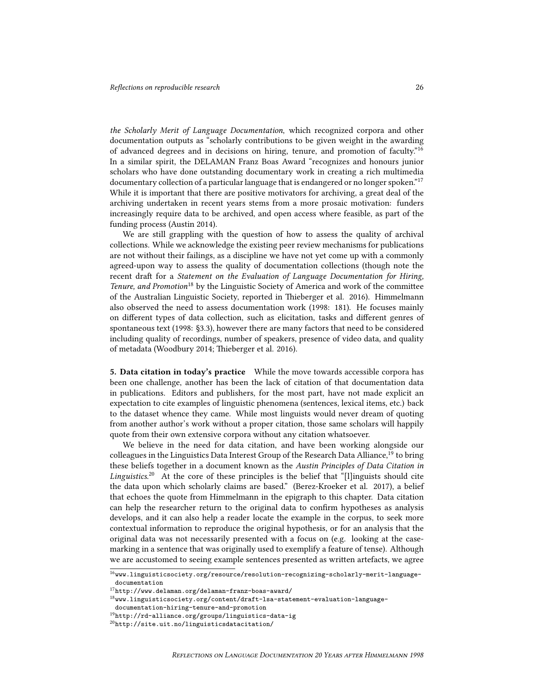the Scholarly Merit of Language Documentation, which recognized corpora and other documentation outputs as "scholarly contributions to be given weight in the awarding of advanced degrees and in decisions on hiring, tenure, and promotion of faculty."<sup>16</sup> In a similar spirit, the DELAMAN Franz Boas Award "recognizes and honours junior scholars who have done outstanding documentary work in creating a rich multimedia documentary collection of a particular language that is endangered or no longer spoken."<sup>17</sup> While it is important that there are positive motivators for archiving, a great deal of the archiving undertaken in recent years stems from a more prosaic motivation: funders increasingly require data to be archived, and open access where feasible, as part of the funding process (Austin 2014).

We are still grappling with the question of how to assess the quality of archival collections. While we acknowledge the existing peer review mechanisms for publications are not without their failings, as a discipline we have not yet come up with a commonly agreed-upon way to assess the quality of documentation collections (though note the recent draft for a Statement on the Evaluation of Language Documentation for Hiring, Tenure, and Promotion<sup>18</sup> by the Linguistic Society of America and work of the committee of the Australian Linguistic Society, reported in Thieberger et al. 2016). Himmelmann also observed the need to assess documentation work (1998: 181). He focuses mainly on different types of data collection, such as elicitation, tasks and different genres of spontaneous text (1998: §3.3), however there are many factors that need to be considered including quality of recordings, number of speakers, presence of video data, and quality of metadata (Woodbury 2014; Thieberger et al. 2016).

5. Data citation in today's practice While the move towards accessible corpora has been one challenge, another has been the lack of citation of that documentation data in publications. Editors and publishers, for the most part, have not made explicit an expectation to cite examples of linguistic phenomena (sentences, lexical items, etc.) back to the dataset whence they came. While most linguists would never dream of quoting from another author's work without a proper citation, those same scholars will happily quote from their own extensive corpora without any citation whatsoever.

We believe in the need for data citation, and have been working alongside our colleagues in the Linguistics Data Interest Group of the Research Data Alliance,<sup>19</sup> to bring these beliefs together in a document known as the Austin Principles of Data Citation in Linguistics.<sup>20</sup> At the core of these principles is the belief that "[l]inguists should cite the data upon which scholarly claims are based." (Berez-Kroeker et al. 2017), a belief that echoes the quote from Himmelmann in the epigraph to this chapter. Data citation can help the researcher return to the original data to confirm hypotheses as analysis develops, and it can also help a reader locate the example in the corpus, to seek more contextual information to reproduce the original hypothesis, or for an analysis that the original data was not necessarily presented with a focus on (e.g. looking at the casemarking in a sentence that was originally used to exemplify a feature of tense). Although we are accustomed to seeing example sentences presented as written artefacts, we agree

 $^{16}\hspace{-1mm}$  [www.linguisticsociety.org/resource/resolution-recognizing-scholarly-merit-language](www.linguisticsociety.org/resource/resolution-recognizing-scholarly-merit-language-documentation)[documentation](www.linguisticsociety.org/resource/resolution-recognizing-scholarly-merit-language-documentation)

 $^{17}\mathrm{http://www.delaman.org/delaman-franz-boas-award/}$  $^{17}\mathrm{http://www.delaman.org/delaman-franz-boas-award/}$  $^{17}\mathrm{http://www.delaman.org/delaman-franz-boas-award/}$ 

 $^\mathrm{18}$ ww.linguisticsociety.org/content/draft-lsa-statement-evaluation-language-

[documentation-hiring-tenure-and-promotion](www.linguisticsociety.org/content/draft-lsa-statement-evaluation-language-documentation-hiring-tenure-and-promotion)

 $^{\rm 19}$  <http://rd-alliance.org/groups/linguistics-data-ig>

<sup>20</sup><http://site.uit.no/linguisticsdatacitation/>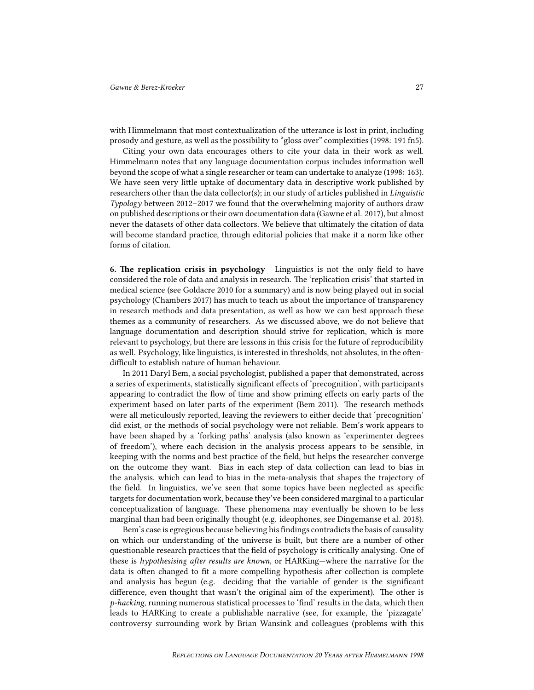with Himmelmann that most contextualization of the utterance is lost in print, including prosody and gesture, as well as the possibility to "gloss over" complexities (1998: 191 fn5).

Citing your own data encourages others to cite your data in their work as well. Himmelmann notes that any language documentation corpus includes information well beyond the scope of what a single researcher or team can undertake to analyze (1998: 163). We have seen very little uptake of documentary data in descriptive work published by researchers other than the data collector(s); in our study of articles published in Linguistic Typology between 2012–2017 we found that the overwhelming majority of authors draw on published descriptions or their own documentation data (Gawne et al. 2017), but almost never the datasets of other data collectors. We believe that ultimately the citation of data will become standard practice, through editorial policies that make it a norm like other forms of citation.

6. The replication crisis in psychology Linguistics is not the only field to have considered the role of data and analysis in research. The 'replication crisis' that started in medical science (see Goldacre 2010 for a summary) and is now being played out in social psychology (Chambers 2017) has much to teach us about the importance of transparency in research methods and data presentation, as well as how we can best approach these themes as a community of researchers. As we discussed above, we do not believe that language documentation and description should strive for replication, which is more relevant to psychology, but there are lessons in this crisis for the future of reproducibility as well. Psychology, like linguistics, is interested in thresholds, not absolutes, in the oftendifficult to establish nature of human behaviour.

In 2011 Daryl Bem, a social psychologist, published a paper that demonstrated, across a series of experiments, statistically significant effects of 'precognition', with participants appearing to contradict the flow of time and show priming effects on early parts of the experiment based on later parts of the experiment (Bem 2011). The research methods were all meticulously reported, leaving the reviewers to either decide that 'precognition' did exist, or the methods of social psychology were not reliable. Bem's work appears to have been shaped by a 'forking paths' analysis (also known as 'experimenter degrees of freedom'), where each decision in the analysis process appears to be sensible, in keeping with the norms and best practice of the field, but helps the researcher converge on the outcome they want. Bias in each step of data collection can lead to bias in the analysis, which can lead to bias in the meta-analysis that shapes the trajectory of the field. In linguistics, we've seen that some topics have been neglected as specific targets for documentation work, because they've been considered marginal to a particular conceptualization of language. These phenomena may eventually be shown to be less marginal than had been originally thought (e.g. ideophones, see Dingemanse et al. 2018).

Bem's case is egregious because believing his findings contradicts the basis of causality on which our understanding of the universe is built, but there are a number of other questionable research practices that the field of psychology is critically analysing. One of these is hypothesising after results are known, or HARKing—where the narrative for the data is often changed to fit a more compelling hypothesis after collection is complete and analysis has begun (e.g. deciding that the variable of gender is the significant difference, even thought that wasn't the original aim of the experiment). The other is  $p$ -hacking, running numerous statistical processes to 'find' results in the data, which then leads to HARKing to create a publishable narrative (see, for example, the 'pizzagate' controversy surrounding work by Brian Wansink and colleagues (problems with this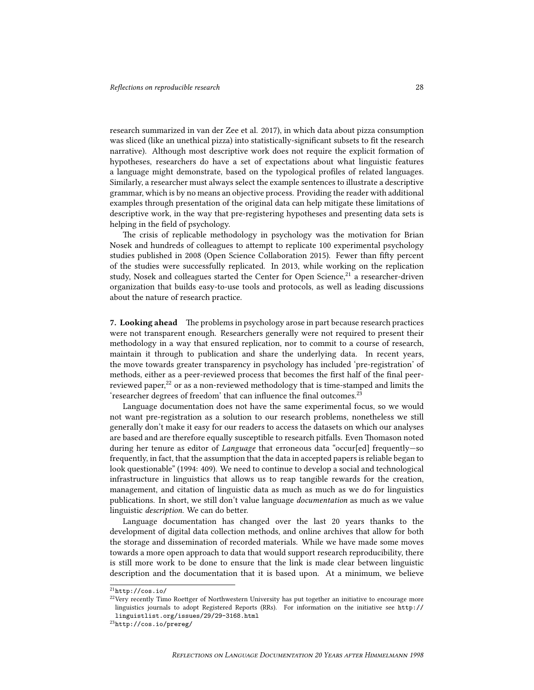research summarized in van der Zee et al. 2017), in which data about pizza consumption was sliced (like an unethical pizza) into statistically-significant subsets to fit the research narrative). Although most descriptive work does not require the explicit formation of hypotheses, researchers do have a set of expectations about what linguistic features a language might demonstrate, based on the typological profiles of related languages. Similarly, a researcher must always select the example sentences to illustrate a descriptive grammar, which is by no means an objective process. Providing the reader with additional examples through presentation of the original data can help mitigate these limitations of descriptive work, in the way that pre-registering hypotheses and presenting data sets is helping in the field of psychology.

The crisis of replicable methodology in psychology was the motivation for Brian Nosek and hundreds of colleagues to attempt to replicate 100 experimental psychology studies published in 2008 (Open Science Collaboration 2015). Fewer than fifty percent of the studies were successfully replicated. In 2013, while working on the replication study, Nosek and colleagues started the Center for Open Science, $21$  a researcher-driven organization that builds easy-to-use tools and protocols, as well as leading discussions about the nature of research practice.

7. Looking ahead The problems in psychology arose in part because research practices were not transparent enough. Researchers generally were not required to present their methodology in a way that ensured replication, nor to commit to a course of research, maintain it through to publication and share the underlying data. In recent years, the move towards greater transparency in psychology has included 'pre-registration' of methods, either as a peer-reviewed process that becomes the first half of the final peerreviewed paper, $^{22}$  or as a non-reviewed methodology that is time-stamped and limits the 'researcher degrees of freedom' that can influence the final outcomes.<sup>23</sup>

Language documentation does not have the same experimental focus, so we would not want pre-registration as a solution to our research problems, nonetheless we still generally don't make it easy for our readers to access the datasets on which our analyses are based and are therefore equally susceptible to research pitfalls. Even Thomason noted during her tenure as editor of *Language* that erroneous data "occur[ed] frequently—so frequently, in fact, that the assumption that the data in accepted papers is reliable began to look questionable" (1994: 409). We need to continue to develop a social and technological infrastructure in linguistics that allows us to reap tangible rewards for the creation, management, and citation of linguistic data as much as much as we do for linguistics publications. In short, we still don't value language *documentation* as much as we value linguistic description. We can do better.

Language documentation has changed over the last 20 years thanks to the development of digital data collection methods, and online archives that allow for both the storage and dissemination of recorded materials. While we have made some moves towards a more open approach to data that would support research reproducibility, there is still more work to be done to ensure that the link is made clear between linguistic description and the documentation that it is based upon. At a minimum, we believe

 $21$ <http://cos.io/>

<sup>&</sup>lt;sup>22</sup>Very recently Timo Roettger of Northwestern University has put together an initiative to encourage more linguistics journals to adopt Registered Reports (RRs). For information on the initiative see [http://](http://linguistlist.org/issues/29/29-3168.html) [linguistlist.org/issues/29/29-3168.html](http://linguistlist.org/issues/29/29-3168.html)

<sup>23</sup><http://cos.io/prereg/>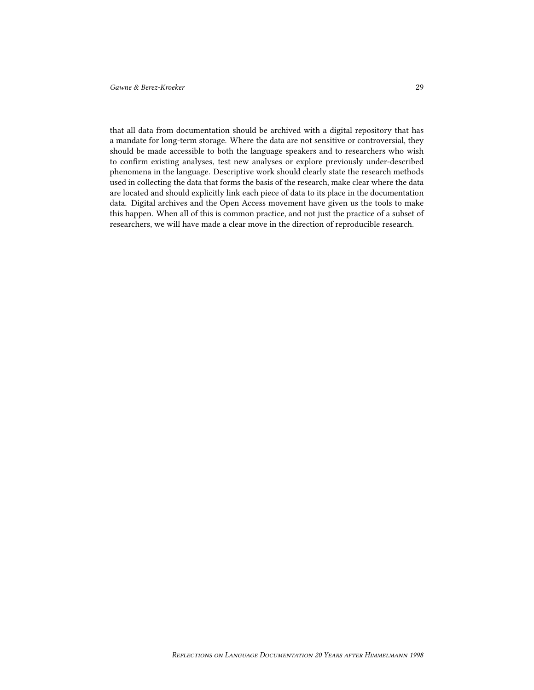that all data from documentation should be archived with a digital repository that has a mandate for long-term storage. Where the data are not sensitive or controversial, they should be made accessible to both the language speakers and to researchers who wish to confirm existing analyses, test new analyses or explore previously under-described phenomena in the language. Descriptive work should clearly state the research methods used in collecting the data that forms the basis of the research, make clear where the data are located and should explicitly link each piece of data to its place in the documentation data. Digital archives and the Open Access movement have given us the tools to make this happen. When all of this is common practice, and not just the practice of a subset of researchers, we will have made a clear move in the direction of reproducible research.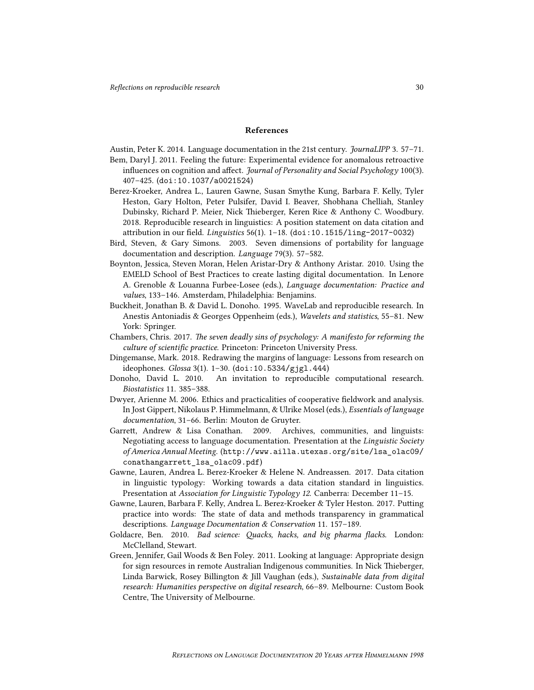## References

Austin, Peter K. 2014. Language documentation in the 21st century. JournaLIPP 3. 57–71.

- Bem, Daryl J. 2011. Feeling the future: Experimental evidence for anomalous retroactive influences on cognition and affect. *Journal of Personality and Social Psychology* 100(3). 407–425. (<doi:10.1037/a0021524>)
- Berez-Kroeker, Andrea L., Lauren Gawne, Susan Smythe Kung, Barbara F. Kelly, Tyler Heston, Gary Holton, Peter Pulsifer, David I. Beaver, Shobhana Chelliah, Stanley Dubinsky, Richard P. Meier, Nick Thieberger, Keren Rice & Anthony C. Woodbury. 2018. Reproducible research in linguistics: A position statement on data citation and attribution in our field. Linguistics 56(1). 1–18. (<doi:10.1515/ling-2017-0032>)
- Bird, Steven, & Gary Simons. 2003. Seven dimensions of portability for language documentation and description. Language 79(3). 57–582.
- Boynton, Jessica, Steven Moran, Helen Aristar-Dry & Anthony Aristar. 2010. Using the EMELD School of Best Practices to create lasting digital documentation. In Lenore A. Grenoble & Louanna Furbee-Losee (eds.), Language documentation: Practice and values, 133–146. Amsterdam, Philadelphia: Benjamins.
- Buckheit, Jonathan B. & David L. Donoho. 1995. WaveLab and reproducible research. In Anestis Antoniadis & Georges Oppenheim (eds.), Wavelets and statistics, 55–81. New York: Springer.
- Chambers, Chris. 2017. The seven deadly sins of psychology: A manifesto for reforming the culture of scientific practice. Princeton: Princeton University Press.
- Dingemanse, Mark. 2018. Redrawing the margins of language: Lessons from research on ideophones. Glossa 3(1). 1–30. (<doi:10.5334/gjgl.444>)
- Donoho, David L. 2010. An invitation to reproducible computational research. Biostatistics 11. 385–388.
- Dwyer, Arienne M. 2006. Ethics and practicalities of cooperative fieldwork and analysis. In Jost Gippert, Nikolaus P. Himmelmann, & Ulrike Mosel (eds.), Essentials of language documentation, 31–66. Berlin: Mouton de Gruyter.
- Garrett, Andrew & Lisa Conathan. 2009. Archives, communities, and linguists: Negotiating access to language documentation. Presentation at the Linguistic Society of America Annual Meeting. ([http://www.ailla.utexas.org/site/lsa\\_olac09/](http://www.ailla.utexas.org/site/lsa_olac09/conathangarrett_lsa_olac09.pdf) conathangarrett lsa olac09.pdf)
- Gawne, Lauren, Andrea L. Berez-Kroeker & Helene N. Andreassen. 2017. Data citation in linguistic typology: Working towards a data citation standard in linguistics. Presentation at Association for Linguistic Typology 12. Canberra: December 11–15.
- Gawne, Lauren, Barbara F. Kelly, Andrea L. Berez-Kroeker & Tyler Heston. 2017. Putting practice into words: The state of data and methods transparency in grammatical descriptions. Language Documentation & Conservation 11. 157–189.
- Goldacre, Ben. 2010. Bad science: Quacks, hacks, and big pharma flacks. London: McClelland, Stewart.
- Green, Jennifer, Gail Woods & Ben Foley. 2011. Looking at language: Appropriate design for sign resources in remote Australian Indigenous communities. In Nick Thieberger, Linda Barwick, Rosey Billington & Jill Vaughan (eds.), Sustainable data from digital research: Humanities perspective on digital research, 66–89. Melbourne: Custom Book Centre, The University of Melbourne.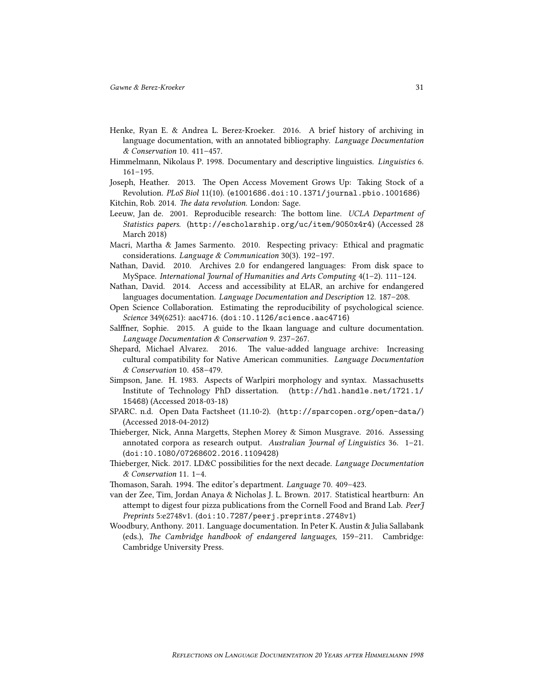- Henke, Ryan E. & Andrea L. Berez-Kroeker. 2016. A brief history of archiving in language documentation, with an annotated bibliography. Language Documentation & Conservation 10. 411–457.
- Himmelmann, Nikolaus P. 1998. Documentary and descriptive linguistics. Linguistics 6. 161–195.
- Joseph, Heather. 2013. The Open Access Movement Grows Up: Taking Stock of a Revolution. PLoS Biol 11(10). ([e1001686.doi:10.1371/journal.pbio.1001686](e1001686. doi:10.1371/journal.pbio.1001686))
- Kitchin, Rob. 2014. The data revolution. London: Sage.
- Leeuw, Jan de. 2001. Reproducible research: The bottom line. UCLA Department of Statistics papers. (<http://escholarship.org/uc/item/9050x4r4>) (Accessed 28 March 2018)
- Macri, Martha & James Sarmento. 2010. Respecting privacy: Ethical and pragmatic considerations. Language & Communication 30(3). 192–197.
- Nathan, David. 2010. Archives 2.0 for endangered languages: From disk space to MySpace. International Journal of Humanities and Arts Computing  $4(1-2)$ . 111-124.
- Nathan, David. 2014. Access and accessibility at ELAR, an archive for endangered languages documentation. Language Documentation and Description 12. 187–208.
- Open Science Collaboration. Estimating the reproducibility of psychological science. Science 349(6251): aac4716. (<doi:10.1126/science.aac4716>)
- Salffner, Sophie. 2015. A guide to the Ikaan language and culture documentation. Language Documentation & Conservation 9. 237–267.
- Shepard, Michael Alvarez. 2016. The value-added language archive: Increasing cultural compatibility for Native American communities. Language Documentation & Conservation 10. 458–479.
- Simpson, Jane. H. 1983. Aspects of Warlpiri morphology and syntax. Massachusetts Institute of Technology PhD dissertation. ([http://hdl.handle.net/1721.1/](http://hdl.handle.net/1721.1/15468) [15468](http://hdl.handle.net/1721.1/15468)) (Accessed 2018-03-18)
- SPARC. n.d. Open Data Factsheet (11.10-2). (<http://sparcopen.org/open-data/>) (Accessed 2018-04-2012)
- Thieberger, Nick, Anna Margetts, Stephen Morey & Simon Musgrave. 2016. Assessing annotated corpora as research output. Australian Journal of Linguistics 36. 1–21. (<doi:10.1080/07268602.2016.1109428>)
- Thieberger, Nick. 2017. LD&C possibilities for the next decade. Language Documentation & Conservation 11. 1–4.
- Thomason, Sarah. 1994. The editor's department. Language 70. 409–423.
- van der Zee, Tim, Jordan Anaya & Nicholas J. L. Brown. 2017. Statistical heartburn: An attempt to digest four pizza publications from the Cornell Food and Brand Lab. Peer J Preprints 5:e2748v1. (<doi:10.7287/peerj.preprints.2748v1>)
- Woodbury, Anthony. 2011. Language documentation. In Peter K. Austin & Julia Sallabank (eds.), The Cambridge handbook of endangered languages, 159–211. Cambridge: Cambridge University Press.